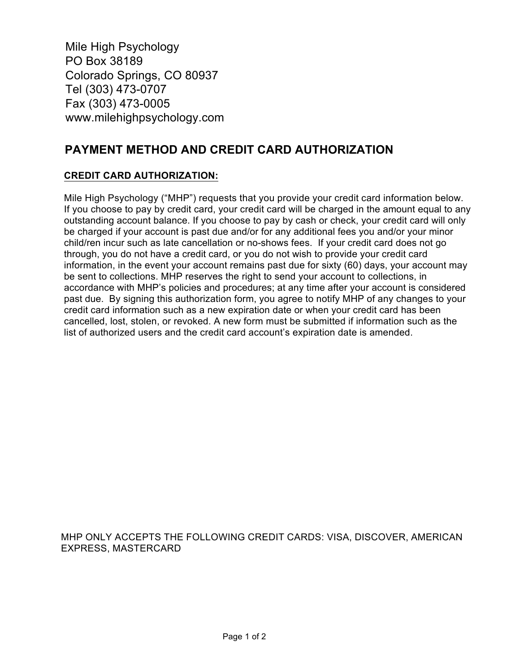Mile High Psychology PO Box 38189 Colorado Springs, CO 80937 Tel (303) 473-0707 Fax (303) 473-0005 www.milehighpsychology.com

## **PAYMENT METHOD AND CREDIT CARD AUTHORIZATION**

## **CREDIT CARD AUTHORIZATION:**

Mile High Psychology ("MHP") requests that you provide your credit card information below. If you choose to pay by credit card, your credit card will be charged in the amount equal to any outstanding account balance. If you choose to pay by cash or check, your credit card will only be charged if your account is past due and/or for any additional fees you and/or your minor child/ren incur such as late cancellation or no-shows fees. If your credit card does not go through, you do not have a credit card, or you do not wish to provide your credit card information, in the event your account remains past due for sixty (60) days, your account may be sent to collections. MHP reserves the right to send your account to collections, in accordance with MHP's policies and procedures; at any time after your account is considered past due. By signing this authorization form, you agree to notify MHP of any changes to your credit card information such as a new expiration date or when your credit card has been cancelled, lost, stolen, or revoked. A new form must be submitted if information such as the list of authorized users and the credit card account's expiration date is amended.

MHP ONLY ACCEPTS THE FOLLOWING CREDIT CARDS: VISA, DISCOVER, AMERICAN EXPRESS, MASTERCARD